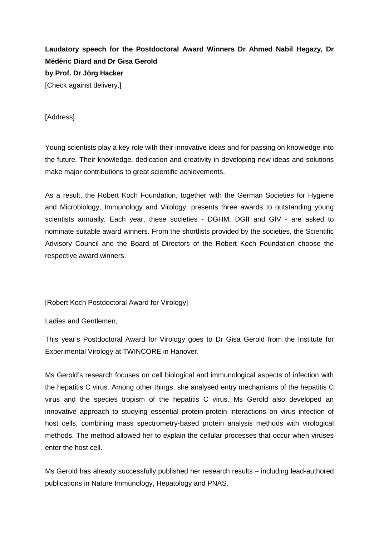**Laudatory speech for the Postdoctoral Award Winners Dr Ahmed Nabil Hegazy, Dr Médéric Diard and Dr Gisa Gerold by Prof. Dr Jörg Hacker** [Check against delivery.]

[Address]

Young scientists play a key role with their innovative ideas and for passing on knowledge into the future. Their knowledge, dedication and creativity in developing new ideas and solutions make major contributions to great scientific achievements.

As a result, the Robert Koch Foundation, together with the German Societies for Hygiene and Microbiology, Immunology and Virology, presents three awards to outstanding young scientists annually. Each year, these societies - DGHM, DGfI and GfV - are asked to nominate suitable award winners. From the shortlists provided by the societies, the Scientific Advisory Council and the Board of Directors of the Robert Koch Foundation choose the respective award winners.

[Robert Koch Postdoctoral Award for Virology]

Ladies and Gentlemen,

This year's Postdoctoral Award for Virology goes to Dr Gisa Gerold from the Institute for Experimental Virology at TWINCORE in Hanover.

Ms Gerold's research focuses on cell biological and immunological aspects of infection with the hepatitis C virus. Among other things, she analysed entry mechanisms of the hepatitis C virus and the species tropism of the hepatitis C virus. Ms Gerold also developed an innovative approach to studying essential protein-protein interactions on virus infection of host cells, combining mass spectrometry-based protein analysis methods with virological methods. The method allowed her to explain the cellular processes that occur when viruses enter the host cell.

Ms Gerold has already successfully published her research results – including lead-authored publications in Nature Immunology, Hepatology and PNAS.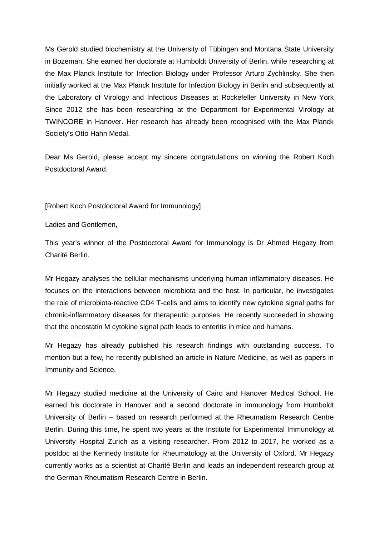Ms Gerold studied biochemistry at the University of Tübingen and Montana State University in Bozeman. She earned her doctorate at Humboldt University of Berlin, while researching at the Max Planck Institute for Infection Biology under Professor Arturo Zychlinsky. She then initially worked at the Max Planck Institute for Infection Biology in Berlin and subsequently at the Laboratory of Virology and Infectious Diseases at Rockefeller University in New York Since 2012 she has been researching at the Department for Experimental Virology at TWINCORE in Hanover. Her research has already been recognised with the Max Planck Society's Otto Hahn Medal.

Dear Ms Gerold, please accept my sincere congratulations on winning the Robert Koch Postdoctoral Award.

[Robert Koch Postdoctoral Award for Immunology]

Ladies and Gentlemen,

This year's winner of the Postdoctoral Award for Immunology is Dr Ahmed Hegazy from Charité Berlin.

Mr Hegazy analyses the cellular mechanisms underlying human inflammatory diseases. He focuses on the interactions between microbiota and the host. In particular, he investigates the role of microbiota-reactive CD4 T-cells and aims to identify new cytokine signal paths for chronic-inflammatory diseases for therapeutic purposes. He recently succeeded in showing that the oncostatin M cytokine signal path leads to enteritis in mice and humans.

Mr Hegazy has already published his research findings with outstanding success. To mention but a few, he recently published an article in Nature Medicine, as well as papers in Immunity and Science.

Mr Hegazy studied medicine at the University of Cairo and Hanover Medical School. He earned his doctorate in Hanover and a second doctorate in immunology from Humboldt University of Berlin – based on research performed at the Rheumatism Research Centre Berlin. During this time, he spent two years at the Institute for Experimental Immunology at University Hospital Zurich as a visiting researcher. From 2012 to 2017, he worked as a postdoc at the Kennedy Institute for Rheumatology at the University of Oxford. Mr Hegazy currently works as a scientist at Charité Berlin and leads an independent research group at the German Rheumatism Research Centre in Berlin.